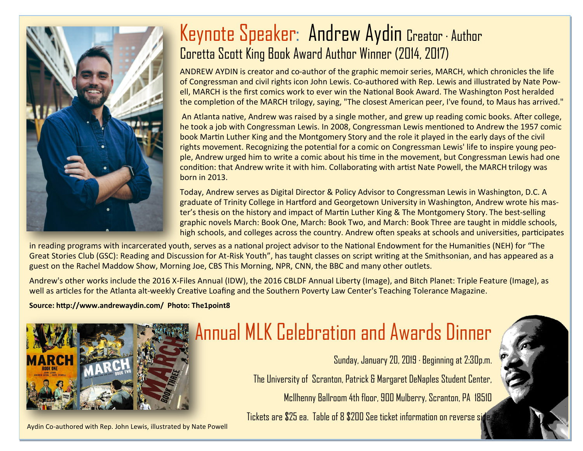

### Keynote Speaker: Andrew Aydin Creator · Author Coretta Scott King Book Award Author Winner (2014, 2017)

ANDREW AYDIN is creator and co-author of the graphic memoir series, MARCH, which chronicles the life of Congressman and civil rights icon John Lewis. Co-authored with Rep. Lewis and illustrated by Nate Powell, MARCH is the first comics work to ever win the National Book Award. The Washington Post heralded the completion of the MARCH trilogy, saying, "The closest American peer, I've found, to Maus has arrived."

An Atlanta native, Andrew was raised by a single mother, and grew up reading comic books. After college, he took a job with Congressman Lewis. In 2008, Congressman Lewis mentioned to Andrew the 1957 comic book Martin Luther King and the Montgomery Story and the role it played in the early days of the civil rights movement. Recognizing the potential for a comic on Congressman Lewis' life to inspire young people, Andrew urged him to write a comic about his time in the movement, but Congressman Lewis had one condition: that Andrew write it with him. Collaborating with artist Nate Powell, the MARCH trilogy was born in 2013.

Today, Andrew serves as Digital Director & Policy Advisor to Congressman Lewis in Washington, D.C. A graduate of Trinity College in Hartford and Georgetown University in Washington, Andrew wrote his master's thesis on the history and impact of Martin Luther King & The Montgomery Story. The best-selling graphic novels March: Book One, March: Book Two, and March: Book Three are taught in middle schools, high schools, and colleges across the country. Andrew often speaks at schools and universities, participates

in reading programs with incarcerated youth, serves as a national project advisor to the National Endowment for the Humanities (NEH) for "The Great Stories Club (GSC): Reading and Discussion for At-Risk Youth", has taught classes on script writing at the Smithsonian, and has appeared as a guest on the Rachel Maddow Show, Morning Joe, CBS This Morning, NPR, CNN, the BBC and many other outlets.

Andrew's other works include the 2016 X-Files Annual (IDW), the 2016 CBLDF Annual Liberty (Image), and Bitch Planet: Triple Feature (Image), as well as articles for the Atlanta alt-weekly Creative Loafing and the Southern Poverty Law Center's Teaching Tolerance Magazine.

### **Source: http://www.andrewaydin.com/ Photo: The1point8**



#### Aydin Co-authored with Rep. John Lewis, illustrated by Nate Powell

## Annual MLK Celebration and Awards Dinner

Sunday, January 20, 2019 · Beginning at 2:30p.m. The University of Scranton, Patrick & Margaret DeNaples Student Center, McIlhenny Ballroom 4th floor, 900 Mulberry, Scranton, PA 18510

Tickets are \$25 ea. Table of 8 \$200 See ticket information on reverse side.